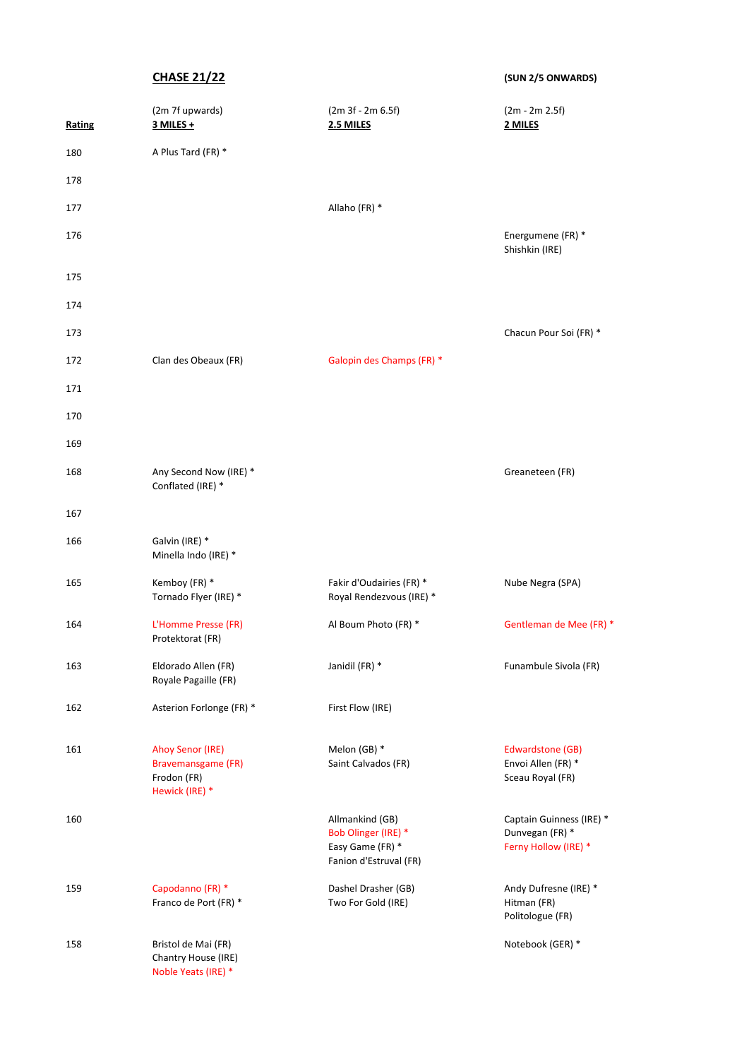**CHASE 21/22 (SUN 2/5 ONWARDS)**

| Rating | (2m 7f upwards)<br>3 MILES +                                                   | $(2m 3f - 2m 6.5f)$<br>2.5 MILES                                                     | (2m - 2m 2.5f)<br>2 MILES                                           |
|--------|--------------------------------------------------------------------------------|--------------------------------------------------------------------------------------|---------------------------------------------------------------------|
| 180    | A Plus Tard (FR) *                                                             |                                                                                      |                                                                     |
| 178    |                                                                                |                                                                                      |                                                                     |
| 177    |                                                                                | Allaho (FR) *                                                                        |                                                                     |
| 176    |                                                                                |                                                                                      | Energumene (FR) *<br>Shishkin (IRE)                                 |
| 175    |                                                                                |                                                                                      |                                                                     |
| 174    |                                                                                |                                                                                      |                                                                     |
| 173    |                                                                                |                                                                                      | Chacun Pour Soi (FR) *                                              |
| 172    | Clan des Obeaux (FR)                                                           | Galopin des Champs (FR) *                                                            |                                                                     |
| 171    |                                                                                |                                                                                      |                                                                     |
| 170    |                                                                                |                                                                                      |                                                                     |
| 169    |                                                                                |                                                                                      |                                                                     |
| 168    | Any Second Now (IRE) *<br>Conflated (IRE) *                                    |                                                                                      | Greaneteen (FR)                                                     |
| 167    |                                                                                |                                                                                      |                                                                     |
| 166    | Galvin (IRE) *<br>Minella Indo (IRE) *                                         |                                                                                      |                                                                     |
| 165    | Kemboy (FR) *<br>Tornado Flyer (IRE) *                                         | Fakir d'Oudairies (FR) *<br>Royal Rendezvous (IRE) *                                 | Nube Negra (SPA)                                                    |
| 164    | L'Homme Presse (FR)<br>Protektorat (FR)                                        | Al Boum Photo (FR) *                                                                 | Gentleman de Mee (FR) *                                             |
| 163    | Eldorado Allen (FR)<br>Royale Pagaille (FR)                                    | Janidil (FR) *                                                                       | Funambule Sivola (FR)                                               |
| 162    | Asterion Forlonge (FR) *                                                       | First Flow (IRE)                                                                     |                                                                     |
| 161    | <b>Ahoy Senor (IRE)</b><br>Bravemansgame (FR)<br>Frodon (FR)<br>Hewick (IRE) * | Melon (GB) *<br>Saint Calvados (FR)                                                  | Edwardstone (GB)<br>Envoi Allen (FR) *<br>Sceau Royal (FR)          |
| 160    |                                                                                | Allmankind (GB)<br>Bob Olinger (IRE) *<br>Easy Game (FR) *<br>Fanion d'Estruval (FR) | Captain Guinness (IRE) *<br>Dunvegan (FR) *<br>Ferny Hollow (IRE) * |
| 159    | Capodanno (FR) *<br>Franco de Port (FR) *                                      | Dashel Drasher (GB)<br>Two For Gold (IRE)                                            | Andy Dufresne (IRE) *<br>Hitman (FR)<br>Politologue (FR)            |
| 158    | Bristol de Mai (FR)<br>Chantry House (IRE)<br>Noble Yeats (IRE) *              |                                                                                      | Notebook (GER) *                                                    |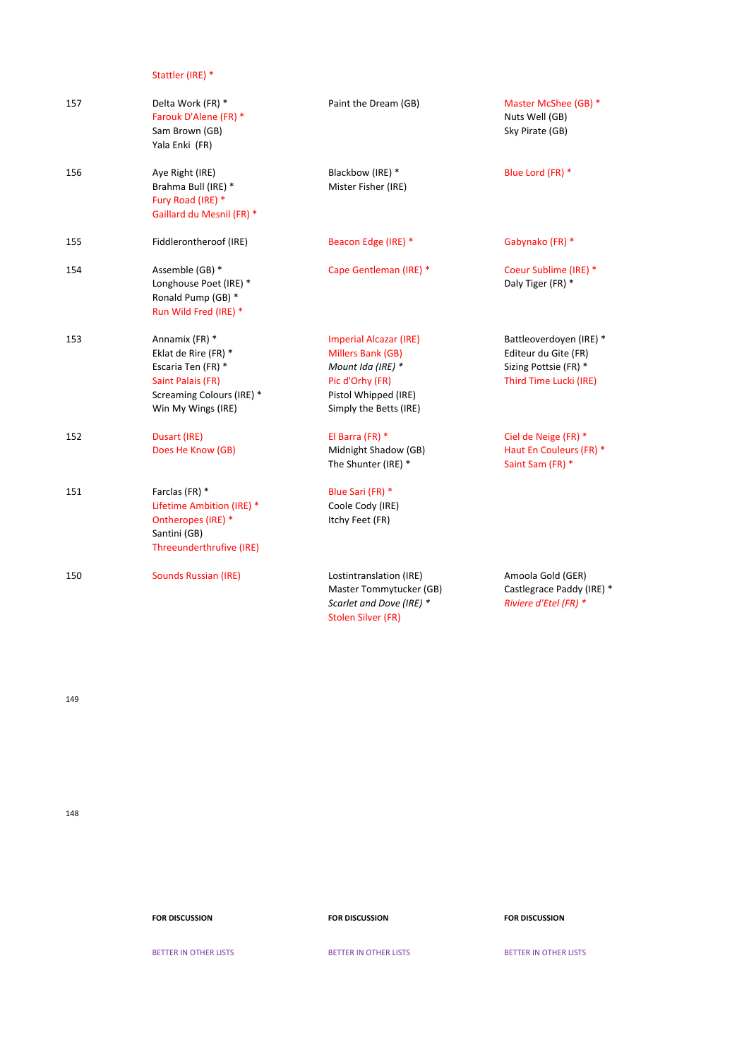Stattler (IRE) \*

| 157 | Delta Work (FR) *<br>Farouk D'Alene (FR) *<br>Sam Brown (GB)<br>Yala Enki (FR)                                                       | Paint the Dream (GB)                                                                                                                         | Master McShee (GB) *<br>Nuts Well (GB)<br>Sky Pirate (GB)                                          |
|-----|--------------------------------------------------------------------------------------------------------------------------------------|----------------------------------------------------------------------------------------------------------------------------------------------|----------------------------------------------------------------------------------------------------|
| 156 | Aye Right (IRE)<br>Brahma Bull (IRE) *<br>Fury Road (IRE) *<br>Gaillard du Mesnil (FR) *                                             | Blackbow (IRE) *<br>Mister Fisher (IRE)                                                                                                      | Blue Lord (FR) *                                                                                   |
| 155 | Fiddlerontheroof (IRE)                                                                                                               | Beacon Edge (IRE) *                                                                                                                          | Gabynako (FR) *                                                                                    |
| 154 | Assemble (GB) *<br>Longhouse Poet (IRE) *<br>Ronald Pump (GB) *<br>Run Wild Fred (IRE) *                                             | Cape Gentleman (IRE) *                                                                                                                       | Coeur Sublime (IRE) *<br>Daly Tiger (FR) *                                                         |
| 153 | Annamix (FR) *<br>Eklat de Rire (FR) *<br>Escaria Ten (FR) *<br>Saint Palais (FR)<br>Screaming Colours (IRE) *<br>Win My Wings (IRE) | <b>Imperial Alcazar (IRE)</b><br>Millers Bank (GB)<br>Mount Ida (IRE) *<br>Pic d'Orhy (FR)<br>Pistol Whipped (IRE)<br>Simply the Betts (IRE) | Battleoverdoyen (IRE) *<br>Editeur du Gite (FR)<br>Sizing Pottsie (FR) *<br>Third Time Lucki (IRE) |
| 152 | Dusart (IRE)<br>Does He Know (GB)                                                                                                    | El Barra (FR) *<br>Midnight Shadow (GB)<br>The Shunter (IRE) *                                                                               | Ciel de Neige (FR) *<br>Haut En Couleurs (FR) *<br>Saint Sam (FR) *                                |
| 151 | Farclas (FR) *<br>Lifetime Ambition (IRE) *<br>Ontheropes (IRE) *<br>Santini (GB)<br>Threeunderthrufive (IRE)                        | Blue Sari (FR) *<br>Coole Cody (IRE)<br>Itchy Feet (FR)                                                                                      |                                                                                                    |
| 150 | <b>Sounds Russian (IRE)</b>                                                                                                          | Lostintranslation (IRE)<br>Master Tommytucker (GB)<br>Scarlet and Dove (IRE) *<br>Stolen Silver (FR)                                         | Amoola Gold (GER)<br>Castlegrace Paddy (IRE) *<br>Riviere d'Etel (FR) *                            |

149

148

## **FOR DISCUSSION FOR DISCUSSION FOR DISCUSSION**

BETTER IN OTHER LISTS BETTER IN OTHER LISTS BETTER IN OTHER LISTS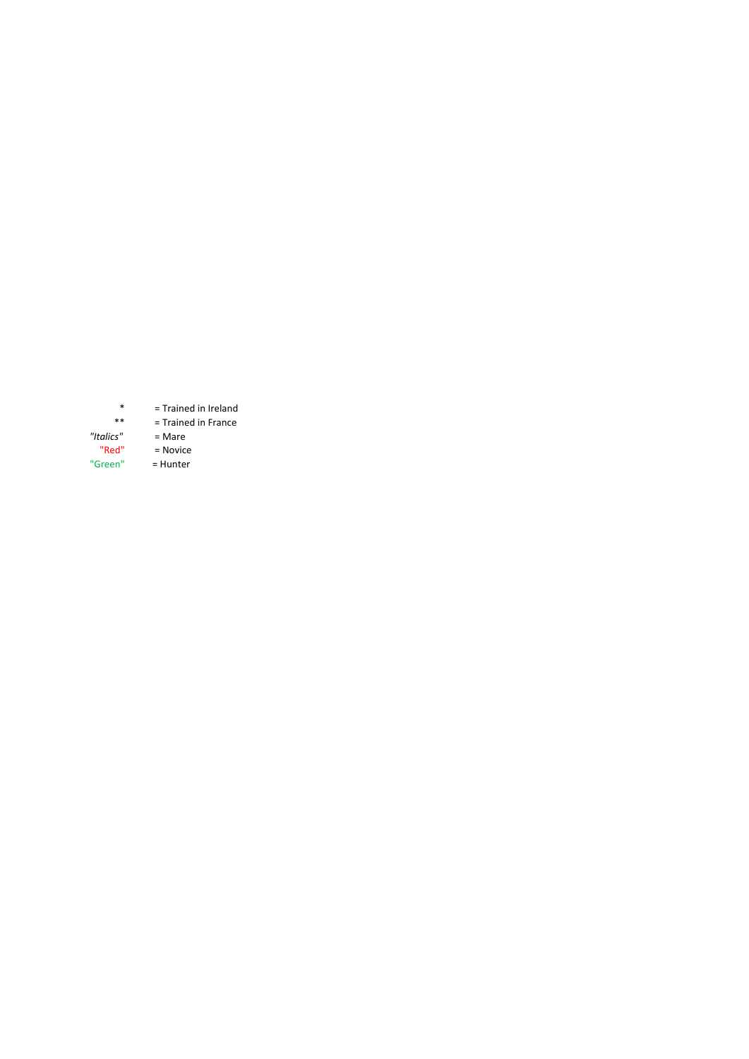\* = Trained in Ireland \*\* = Trained in France *"Italics"* = Mare "Red" = Novice "Green" = Hunter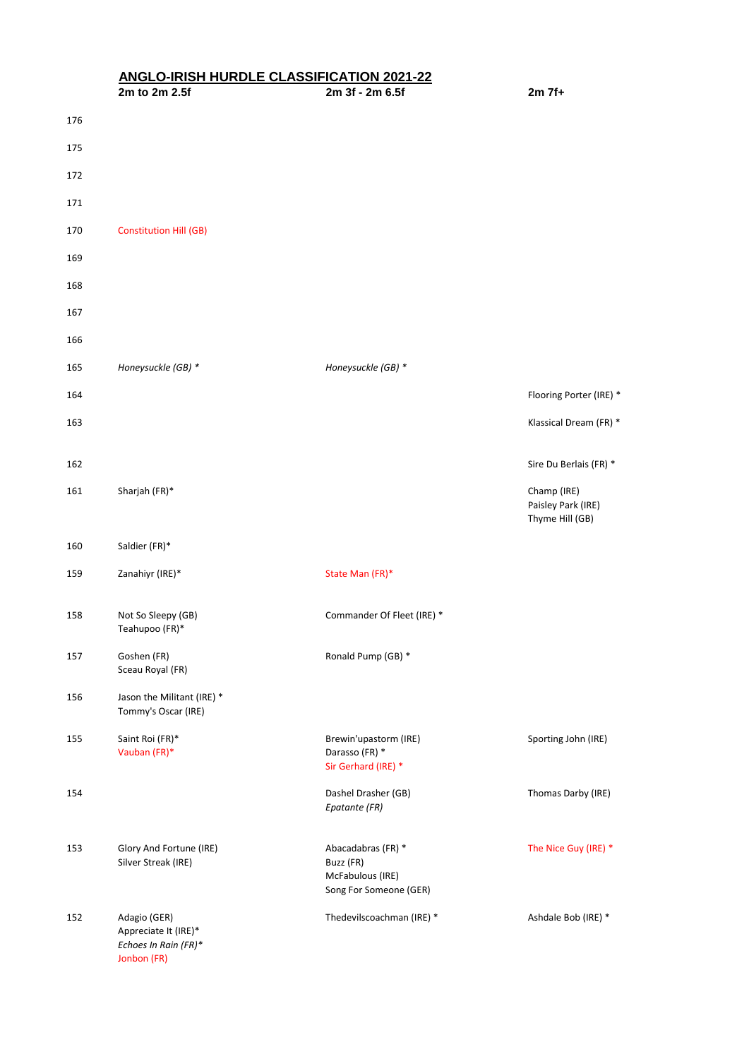## **ANGLO-IRISH HURDLE CLASSIFICATION 2021-22**

|     | 2m to 2m 2.5f                                                               | 2m 3f - 2m 6.5f                                                               | $2m$ 7f+                                             |
|-----|-----------------------------------------------------------------------------|-------------------------------------------------------------------------------|------------------------------------------------------|
| 176 |                                                                             |                                                                               |                                                      |
| 175 |                                                                             |                                                                               |                                                      |
| 172 |                                                                             |                                                                               |                                                      |
| 171 |                                                                             |                                                                               |                                                      |
| 170 | <b>Constitution Hill (GB)</b>                                               |                                                                               |                                                      |
| 169 |                                                                             |                                                                               |                                                      |
| 168 |                                                                             |                                                                               |                                                      |
| 167 |                                                                             |                                                                               |                                                      |
| 166 |                                                                             |                                                                               |                                                      |
| 165 | Honeysuckle (GB) *                                                          | Honeysuckle (GB) *                                                            |                                                      |
| 164 |                                                                             |                                                                               | Flooring Porter (IRE) *                              |
| 163 |                                                                             |                                                                               | Klassical Dream (FR) *                               |
| 162 |                                                                             |                                                                               | Sire Du Berlais (FR) *                               |
| 161 | Sharjah (FR)*                                                               |                                                                               | Champ (IRE)<br>Paisley Park (IRE)<br>Thyme Hill (GB) |
| 160 | Saldier (FR)*                                                               |                                                                               |                                                      |
| 159 | Zanahiyr (IRE)*                                                             | State Man (FR)*                                                               |                                                      |
| 158 | Not So Sleepy (GB)<br>Teahupoo (FR)*                                        | Commander Of Fleet (IRE) *                                                    |                                                      |
| 157 | Goshen (FR)<br>Sceau Royal (FR)                                             | Ronald Pump (GB) *                                                            |                                                      |
| 156 | Jason the Militant (IRE) *<br>Tommy's Oscar (IRE)                           |                                                                               |                                                      |
| 155 | Saint Roi (FR)*<br>Vauban (FR)*                                             | Brewin'upastorm (IRE)<br>Darasso (FR) *<br>Sir Gerhard (IRE) *                | Sporting John (IRE)                                  |
| 154 |                                                                             | Dashel Drasher (GB)<br>Epatante (FR)                                          | Thomas Darby (IRE)                                   |
| 153 | Glory And Fortune (IRE)<br>Silver Streak (IRE)                              | Abacadabras (FR) *<br>Buzz (FR)<br>McFabulous (IRE)<br>Song For Someone (GER) | The Nice Guy (IRE) *                                 |
| 152 | Adagio (GER)<br>Appreciate It (IRE)*<br>Echoes In Rain (FR)*<br>Jonbon (FR) | Thedevilscoachman (IRE) *                                                     | Ashdale Bob (IRE) *                                  |